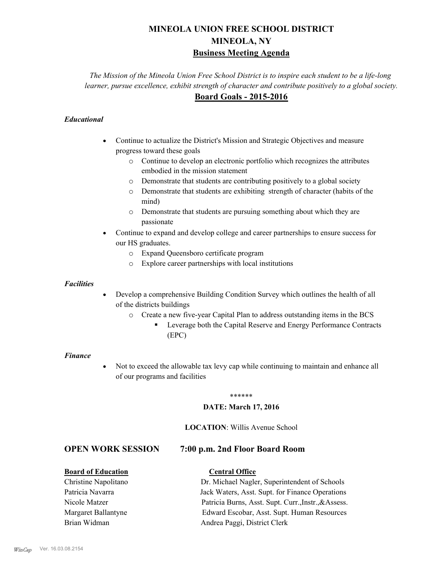# **MINEOLA UNION FREE SCHOOL DISTRICT MINEOLA, NY Business Meeting Agenda**

*The Mission of the Mineola Union Free School District is to inspire each student to be a life-long learner, pursue excellence, exhibit strength of character and contribute positively to a global society.* **Board Goals - 2015-2016**

## *Educational*

- · Continue to actualize the District's Mission and Strategic Objectives and measure progress toward these goals
	- o Continue to develop an electronic portfolio which recognizes the attributes embodied in the mission statement
	- o Demonstrate that students are contributing positively to a global society
	- o Demonstrate that students are exhibiting strength of character (habits of the mind)
	- o Demonstrate that students are pursuing something about which they are passionate
- Continue to expand and develop college and career partnerships to ensure success for our HS graduates.
	- o Expand Queensboro certificate program
	- o Explore career partnerships with local institutions

#### *Facilities*

- Develop a comprehensive Building Condition Survey which outlines the health of all of the districts buildings
	- o Create a new five-year Capital Plan to address outstanding items in the BCS
		- § Leverage both the Capital Reserve and Energy Performance Contracts (EPC)

#### *Finance*

• Not to exceed the allowable tax levy cap while continuing to maintain and enhance all of our programs and facilities

#### \*\*\*\*\*\*

#### **DATE: March 17, 2016**

#### **LOCATION**: Willis Avenue School

# **OPEN WORK SESSION 7:00 p.m. 2nd Floor Board Room**

#### **Board of Education Central Office**

# Christine Napolitano Dr. Michael Nagler, Superintendent of Schools Patricia Navarra Jack Waters, Asst. Supt. for Finance Operations Nicole Matzer Patricia Burns, Asst. Supt. Curr.,Instr.,&Assess. Margaret Ballantyne Edward Escobar, Asst. Supt. Human Resources Brian Widman **Andrea Paggi, District Clerk**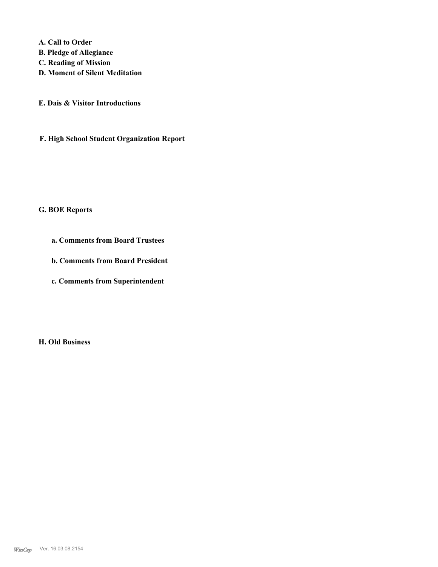**A. Call to Order** 

- **B. Pledge of Allegiance**
- **C. Reading of Mission**
- **D. Moment of Silent Meditation**
- **E. Dais & Visitor Introductions**
- **F. High School Student Organization Report**

# **G. BOE Reports**

- **a. Comments from Board Trustees**
- **b. Comments from Board President**
- **c. Comments from Superintendent**

**H. Old Business**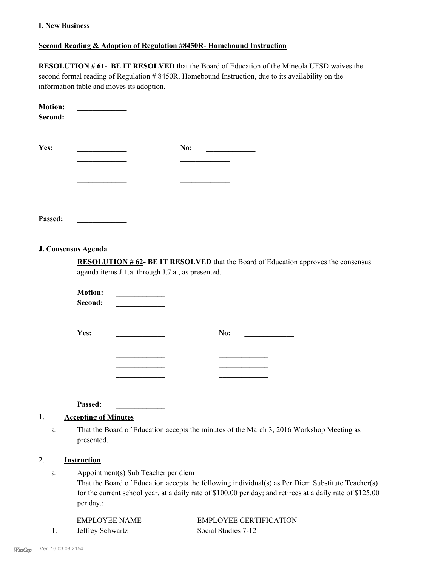#### **I. New Business**

#### **Second Reading & Adoption of Regulation #8450R- Homebound Instruction**

**RESOLUTION # 61- BE IT RESOLVED** that the Board of Education of the Mineola UFSD waives the second formal reading of Regulation # 8450R, Homebound Instruction, due to its availability on the information table and moves its adoption.

| <b>Motion:</b><br>Second: |     |
|---------------------------|-----|
| Yes:                      | No: |
|                           |     |
|                           |     |
|                           |     |
|                           |     |
|                           |     |

**Passed: \_\_\_\_\_\_\_\_\_\_\_\_\_**

#### **J. Consensus Agenda**

**RESOLUTION # 62- BE IT RESOLVED** that the Board of Education approves the consensus agenda items J.1.a. through J.7.a., as presented.

**Motion:**  $Second:$ 

| Yes: | No: |
|------|-----|
|      |     |
|      |     |
|      |     |
|      |     |

**Passed: \_\_\_\_\_\_\_\_\_\_\_\_\_**

#### 1. **Accepting of Minutes**

That the Board of Education accepts the minutes of the March 3, 2016 Workshop Meeting as presented. a.

#### 2. **Instruction**

Appointment(s) Sub Teacher per diem a.

> That the Board of Education accepts the following individual(s) as Per Diem Substitute Teacher(s) for the current school year, at a daily rate of \$100.00 per day; and retirees at a daily rate of \$125.00 per day.:

1. Jeffrey Schwartz Social Studies 7-12

EMPLOYEE NAME EMPLOYEE CERTIFICATION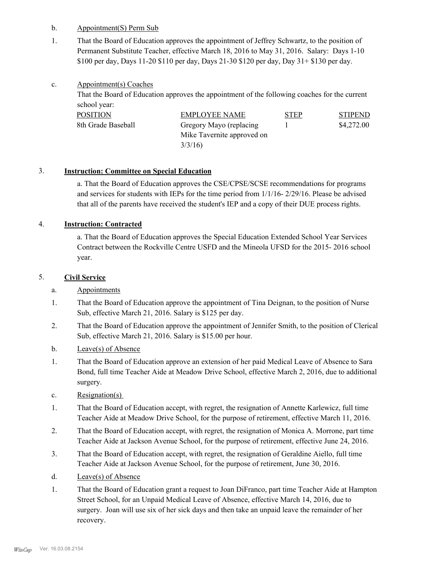#### b. Appointment(S) Perm Sub

That the Board of Education approves the appointment of Jeffrey Schwartz, to the position of Permanent Substitute Teacher, effective March 18, 2016 to May 31, 2016. Salary: Days 1-10 \$100 per day, Days 11-20 \$110 per day, Days 21-30 \$120 per day, Day 31+ \$130 per day. 1.

#### Appointment(s) Coaches c.

That the Board of Education approves the appointment of the following coaches for the current school year:

| POSITION           | EMPLOYEE NAME              | <b>STEP</b> | <b>STIPEND</b> |
|--------------------|----------------------------|-------------|----------------|
| 8th Grade Baseball | Gregory Mayo (replacing    |             | \$4,272.00     |
|                    | Mike Tavernite approved on |             |                |
|                    | 3/3/16                     |             |                |

# 3. **Instruction: Committee on Special Education**

a. That the Board of Education approves the CSE/CPSE/SCSE recommendations for programs and services for students with IEPs for the time period from 1/1/16- 2/29/16. Please be advised that all of the parents have received the student's IEP and a copy of their DUE process rights.

# 4. **Instruction: Contracted**

a. That the Board of Education approves the Special Education Extended School Year Services Contract between the Rockville Centre USFD and the Mineola UFSD for the 2015- 2016 school year.

# 5. **Civil Service**

- a. Appointments
- That the Board of Education approve the appointment of Tina Deignan, to the position of Nurse Sub, effective March 21, 2016. Salary is \$125 per day. 1.
- That the Board of Education approve the appointment of Jennifer Smith, to the position of Clerical Sub, effective March 21, 2016. Salary is \$15.00 per hour. 2.
- b. Leave(s) of Absence
- That the Board of Education approve an extension of her paid Medical Leave of Absence to Sara Bond, full time Teacher Aide at Meadow Drive School, effective March 2, 2016, due to additional surgery. 1.
- c. Resignation(s)
- That the Board of Education accept, with regret, the resignation of Annette Karlewicz, full time Teacher Aide at Meadow Drive School, for the purpose of retirement, effective March 11, 2016. 1.
- That the Board of Education accept, with regret, the resignation of Monica A. Morrone, part time Teacher Aide at Jackson Avenue School, for the purpose of retirement, effective June 24, 2016. 2.
- That the Board of Education accept, with regret, the resignation of Geraldine Aiello, full time Teacher Aide at Jackson Avenue School, for the purpose of retirement, June 30, 2016. 3.
- d. Leave(s) of Absence
- That the Board of Education grant a request to Joan DiFranco, part time Teacher Aide at Hampton Street School, for an Unpaid Medical Leave of Absence, effective March 14, 2016, due to surgery. Joan will use six of her sick days and then take an unpaid leave the remainder of her recovery. 1.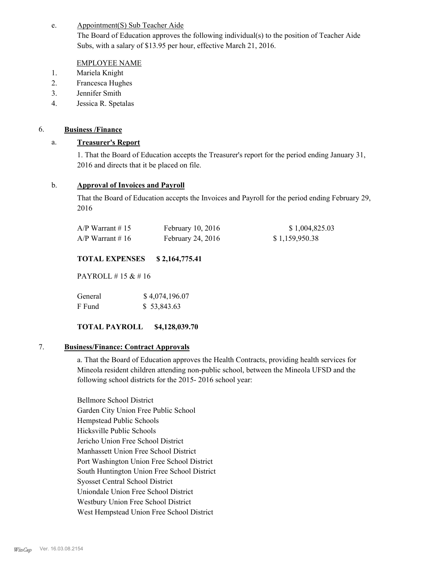#### Appointment(S) Sub Teacher Aide e.

The Board of Education approves the following individual(s) to the position of Teacher Aide Subs, with a salary of \$13.95 per hour, effective March 21, 2016.

#### EMPLOYEE NAME

- 1. Mariela Knight
- 2. Francesca Hughes
- 3. Jennifer Smith
- 4. Jessica R. Spetalas

## 6. **Business /Finance**

## a. **Treasurer's Report**

1. That the Board of Education accepts the Treasurer's report for the period ending January 31, 2016 and directs that it be placed on file.

## b. **Approval of Invoices and Payroll**

That the Board of Education accepts the Invoices and Payroll for the period ending February 29, 2016

| $A/P$ Warrant #15 | February 10, 2016   | \$1,004,825.03 |
|-------------------|---------------------|----------------|
| $A/P$ Warrant #16 | February 24, $2016$ | \$1,159,950.38 |

## **TOTAL EXPENSES \$ 2,164,775.41**

PAYROLL # 15 & # 16

| General | \$4,074,196.07 |  |  |
|---------|----------------|--|--|
| F Fund  | \$53,843.63    |  |  |

# **TOTAL PAYROLL \$4,128,039.70**

#### 7. **Business/Finance: Contract Approvals**

a. That the Board of Education approves the Health Contracts, providing health services for Mineola resident children attending non-public school, between the Mineola UFSD and the following school districts for the 2015- 2016 school year:

Bellmore School District Garden City Union Free Public School Hempstead Public Schools Hicksville Public Schools Jericho Union Free School District Manhassett Union Free School District Port Washington Union Free School District South Huntington Union Free School District Syosset Central School District Uniondale Union Free School District Westbury Union Free School District West Hempstead Union Free School District